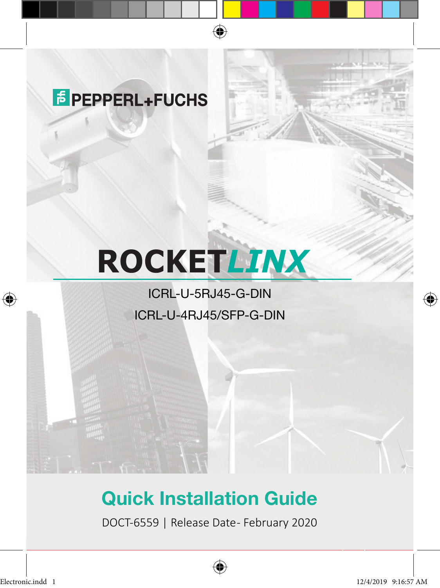## **E** PEPPERL+FUCHS

# **ROCKET***LINX*

 $\bigoplus$ 

### ICRL-U-5RJ45-G-DIN ICRL-U-4RJ45/SFP-G-DIN

## Quick Installation Guide

DOCT-6559 | Release Date- February 2020



⊕

♠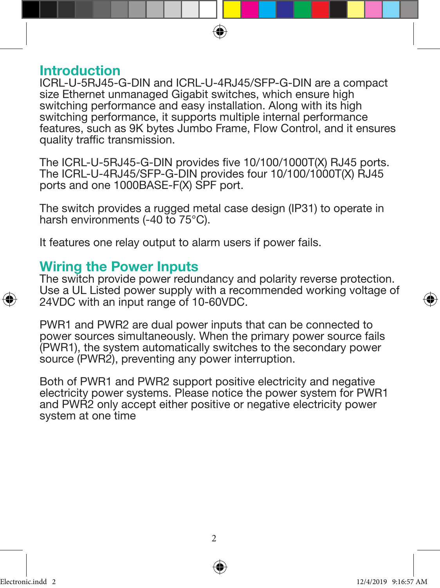

#### Introduction

ICRL-U-5RJ45-G-DIN and ICRL-U-4RJ45/SFP-G-DIN are a compact size Ethernet unmanaged Gigabit switches, which ensure high switching performance and easy installation. Along with its high switching performance, it supports multiple internal performance features, such as 9K bytes Jumbo Frame, Flow Control, and it ensures quality traffic transmission.

The ICRL-U-5RJ45-G-DIN provides five 10/100/1000T(X) RJ45 ports. The ICRL-U-4RJ45/SFP-G-DIN provides four 10/100/1000T(X) RJ45 ports and one 1000BASE-F(X) SPF port.

The switch provides a rugged metal case design (IP31) to operate in harsh environments (-40 to 75°C).

It features one relay output to alarm users if power fails.

#### Wiring the Power Inputs

The switch provide power redundancy and polarity reverse protection. Use a UL Listed power supply with a recommended working voltage of 24VDC with an input range of 10-60VDC.

PWR1 and PWR2 are dual power inputs that can be connected to power sources simultaneously. When the primary power source fails (PWR1), the system automatically switches to the secondary power source (PWR2), preventing any power interruption.

Both of PWR1 and PWR2 support positive electricity and negative electricity power systems. Please notice the power system for PWR1 and PWR2 only accept either positive or negative electricity power system at one time



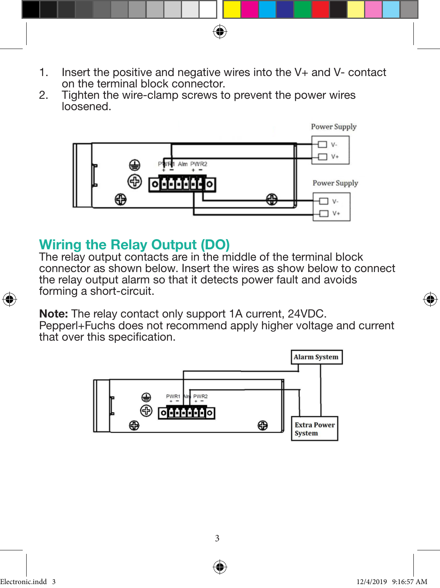1. Insert the positive and negative wires into the V+ and V- contact on the terminal block connector.

◈

2. Tighten the wire-clamp screws to prevent the power wires loosened.



#### Wiring the Relay Output (DO)

The relay output contacts are in the middle of the terminal block connector as shown below. Insert the wires as show below to connect the relay output alarm so that it detects power fault and avoids forming a short-circuit.

Note: The relay contact only support 1A current, 24VDC. Pepperl+Fuchs does not recommend apply higher voltage and current that over this specification.



⊕

♠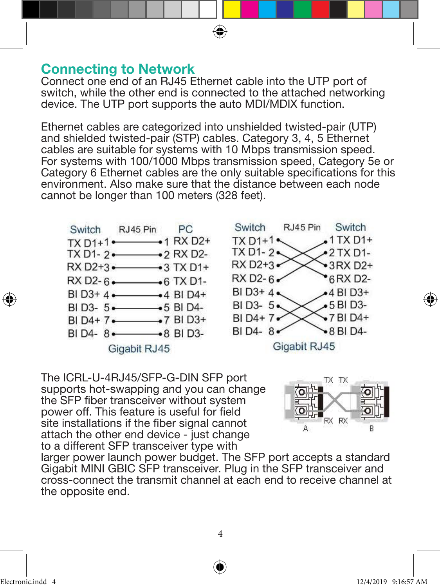#### Connecting to Network

Connect one end of an RJ45 Ethernet cable into the UTP port of switch, while the other end is connected to the attached networking device. The UTP port supports the auto MDI/MDIX function.

⊕

Ethernet cables are categorized into unshielded twisted-pair (UTP) and shielded twisted-pair (STP) cables. Category 3, 4, 5 Ethernet cables are suitable for systems with 10 Mbps transmission speed. For systems with 100/1000 Mbps transmission speed, Category 5e or Category 6 Ethernet cables are the only suitable specifications for this environment. Also make sure that the distance between each node cannot be longer than 100 meters (328 feet).





The ICRL-U-4RJ45/SFP-G-DIN SFP port supports hot-swapping and you can change the SFP fiber transceiver without system power off. This feature is useful for field site installations if the fiber signal cannot attach the other end device - just change to a different SFP transceiver type with



larger power launch power budget. The SFP port accepts a standard Gigabit MINI GBIC SFP transceiver. Plug in the SFP transceiver and cross-connect the transmit channel at each end to receive channel at the opposite end.

⊕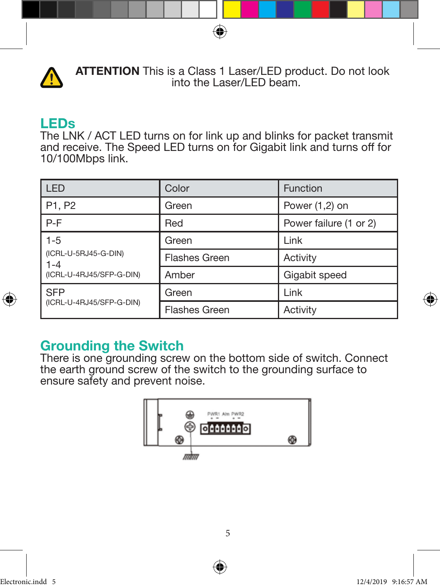

 ATTENTION This is a Class 1 Laser/LED product. Do not look into the Laser/LED beam.

◈

#### LEDs

The LNK / ACT LED turns on for link up and blinks for packet transmit and receive. The Speed LED turns on for Gigabit link and turns off for 10/100Mbps link.

| LED                                                                | Color                | <b>Function</b>        |
|--------------------------------------------------------------------|----------------------|------------------------|
| P <sub>1</sub> , P <sub>2</sub>                                    | Green                | Power $(1,2)$ on       |
| $P-F$                                                              | Red                  | Power failure (1 or 2) |
| $1-5$<br>(ICRL-U-5RJ45-G-DIN)<br>l 1-4<br>(ICRL-U-4RJ45/SFP-G-DIN) | Green                | Link                   |
|                                                                    | <b>Flashes Green</b> | Activity               |
|                                                                    | Amber                | Gigabit speed          |
| l SFP<br>(ICRL-U-4RJ45/SFP-G-DIN)                                  | Green                | Link                   |
|                                                                    | Flashes Green        | Activity               |

#### Grounding the Switch

There is one grounding screw on the bottom side of switch. Connect the earth ground screw of the switch to the grounding surface to ensure safety and prevent noise.



⊕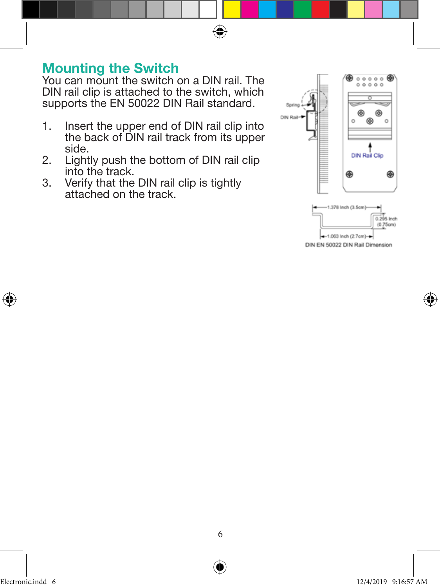

You can mount the switch on a DIN rail. The DIN rail clip is attached to the switch, which supports the EN 50022 DIN Rail standard.

⊕

- 1. Insert the upper end of DIN rail clip into the back of DIN rail track from its upper side.
- 2. Lightly push the bottom of DIN rail clip into the track.
- 3. Verify that the DIN rail clip is tightly attached on the track.



DIN EN 50022 DIN Rail Dimension

⊕